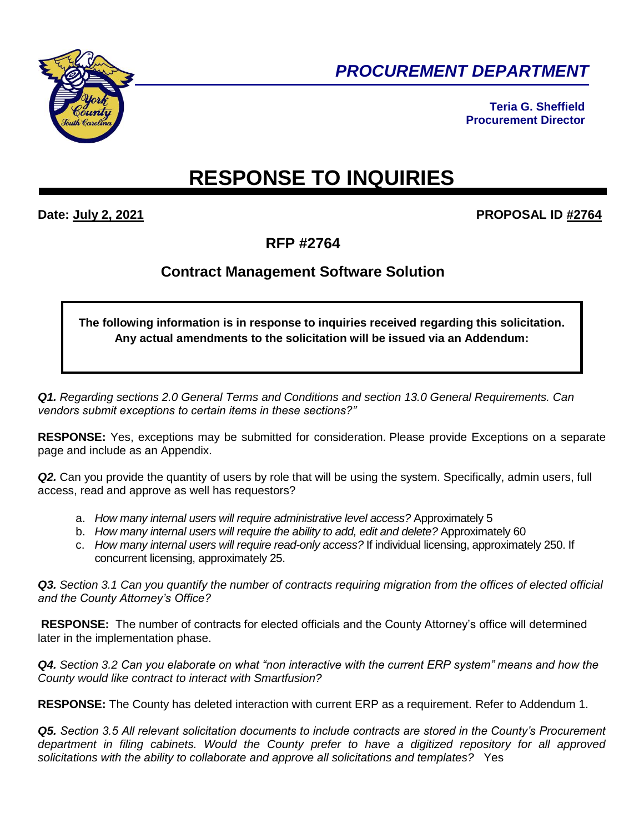

*PROCUREMENT DEPARTMENT* 

**Teria G. Sheffield Procurement Director**

## **RESPONSE TO INQUIRIES**

## **Date: July 2, 2021 PROPOSAL ID #2764**

**RFP #2764**

## **Contract Management Software Solution**

**The following information is in response to inquiries received regarding this solicitation. Any actual amendments to the solicitation will be issued via an Addendum:**

*Q1. Regarding sections 2.0 General Terms and Conditions and section 13.0 General Requirements. Can vendors submit exceptions to certain items in these sections?"*

**RESPONSE:** Yes, exceptions may be submitted for consideration. Please provide Exceptions on a separate page and include as an Appendix.

*Q2.* Can you provide the quantity of users by role that will be using the system. Specifically, admin users, full access, read and approve as well has requestors?

- a. *How many internal users will require administrative level access?* Approximately 5
- b. *How many internal users will require the ability to add, edit and delete?* Approximately 60
- c. *How many internal users will require read-only access?* If individual licensing, approximately 250. If concurrent licensing, approximately 25.

*Q3. Section 3.1 Can you quantify the number of contracts requiring migration from the offices of elected official and the County Attorney's Office?*

**RESPONSE:** The number of contracts for elected officials and the County Attorney's office will determined later in the implementation phase.

*Q4. Section 3.2 Can you elaborate on what "non interactive with the current ERP system" means and how the County would like contract to interact with Smartfusion?*

**RESPONSE:** The County has deleted interaction with current ERP as a requirement. Refer to Addendum 1.

*Q5. Section 3.5 All relevant solicitation documents to include contracts are stored in the County's Procurement department in filing cabinets. Would the County prefer to have a digitized repository for all approved solicitations with the ability to collaborate and approve all solicitations and templates?*Yes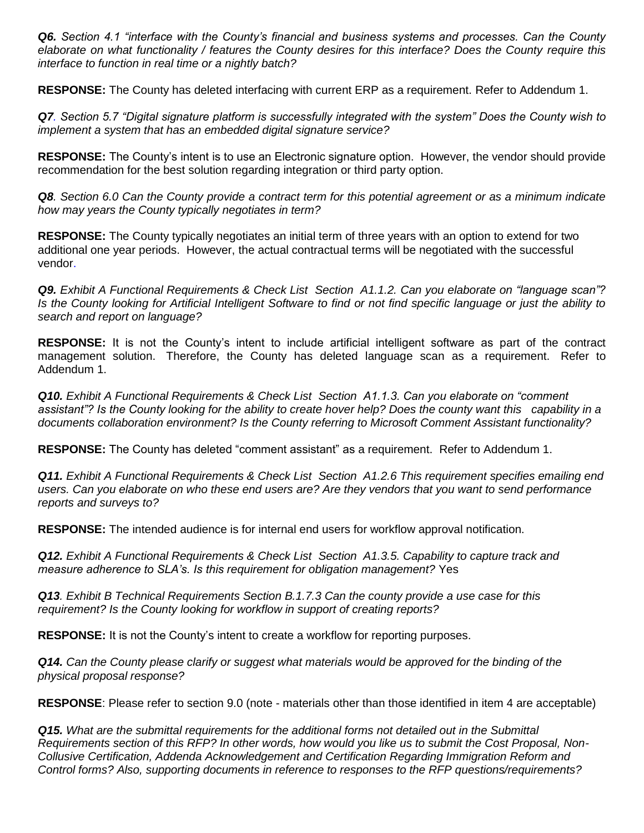*Q6. Section 4.1 "interface with the County's financial and business systems and processes. Can the County elaborate on what functionality / features the County desires for this interface? Does the County require this interface to function in real time or a nightly batch?*

**RESPONSE:** The County has deleted interfacing with current ERP as a requirement. Refer to Addendum 1.

*Q7. Section 5.7 "Digital signature platform is successfully integrated with the system" Does the County wish to implement a system that has an embedded digital signature service?*

**RESPONSE:** The County's intent is to use an Electronic signature option. However, the vendor should provide recommendation for the best solution regarding integration or third party option.

*Q8. Section 6.0 Can the County provide a contract term for this potential agreement or as a minimum indicate how may years the County typically negotiates in term?*

**RESPONSE:** The County typically negotiates an initial term of three years with an option to extend for two additional one year periods. However, the actual contractual terms will be negotiated with the successful vendor.

*Q9. Exhibit A Functional Requirements & Check List Section A1.1.2. Can you elaborate on "language scan"? Is the County looking for Artificial Intelligent Software to find or not find specific language or just the ability to search and report on language?*

**RESPONSE:** It is not the County's intent to include artificial intelligent software as part of the contract management solution. Therefore, the County has deleted language scan as a requirement. Refer to Addendum 1.

*Q10. Exhibit A Functional Requirements & Check List Section A1.1.3. Can you elaborate on "comment assistant"? Is the County looking for the ability to create hover help? Does the county want this capability in a documents collaboration environment? Is the County referring to Microsoft Comment Assistant functionality?* 

**RESPONSE:** The County has deleted "comment assistant" as a requirement. Refer to Addendum 1.

*Q11. Exhibit A Functional Requirements & Check List Section A1.2.6 This requirement specifies emailing end users. Can you elaborate on who these end users are? Are they vendors that you want to send performance reports and surveys to?* 

**RESPONSE:** The intended audience is for internal end users for workflow approval notification.

*Q12. Exhibit A Functional Requirements & Check List Section A1.3.5. Capability to capture track and measure adherence to SLA's. Is this requirement for obligation management?* Yes

*Q13. Exhibit B Technical Requirements Section B.1.7.3 Can the county provide a use case for this requirement? Is the County looking for workflow in support of creating reports?*

**RESPONSE:** It is not the County's intent to create a workflow for reporting purposes.

*Q14. Can the County please clarify or suggest what materials would be approved for the binding of the physical proposal response?*

**RESPONSE**: Please refer to section 9.0 (note - materials other than those identified in item 4 are acceptable)

*Q15. What are the submittal requirements for the additional forms not detailed out in the Submittal Requirements section of this RFP? In other words, how would you like us to submit the Cost Proposal, Non-Collusive Certification, Addenda Acknowledgement and Certification Regarding Immigration Reform and Control forms? Also, supporting documents in reference to responses to the RFP questions/requirements?*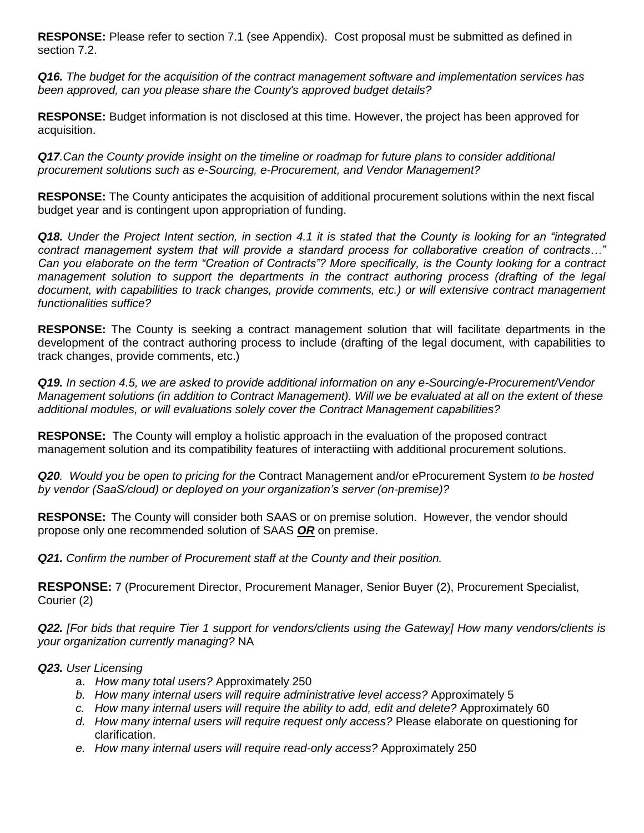**RESPONSE:** Please refer to section 7.1 (see Appendix). Cost proposal must be submitted as defined in section 7.2.

*Q16. The budget for the acquisition of the contract management software and implementation services has been approved, can you please share the County's approved budget details?*

**RESPONSE:** Budget information is not disclosed at this time. However, the project has been approved for acquisition.

*Q17.Can the County provide insight on the timeline or roadmap for future plans to consider additional procurement solutions such as e-Sourcing, e-Procurement, and Vendor Management?* 

**RESPONSE:** The County anticipates the acquisition of additional procurement solutions within the next fiscal budget year and is contingent upon appropriation of funding.

*Q18. Under the Project Intent section, in section 4.1 it is stated that the County is looking for an "integrated contract management system that will provide a standard process for collaborative creation of contracts…" Can you elaborate on the term "Creation of Contracts"? More specifically, is the County looking for a contract management solution to support the departments in the contract authoring process (drafting of the legal document, with capabilities to track changes, provide comments, etc.) or will extensive contract management functionalities suffice?*

**RESPONSE:** The County is seeking a contract management solution that will facilitate departments in the development of the contract authoring process to include (drafting of the legal document, with capabilities to track changes, provide comments, etc.)

*Q19. In section 4.5, we are asked to provide additional information on any e-Sourcing/e-Procurement/Vendor Management solutions (in addition to Contract Management). Will we be evaluated at all on the extent of these additional modules, or will evaluations solely cover the Contract Management capabilities?*

**RESPONSE:**The County will employ a holistic approach in the evaluation of the proposed contract management solution and its compatibility features of interactiing with additional procurement solutions.

*Q20. Would you be open to pricing for the* Contract Management and/or eProcurement System *to be hosted by vendor (SaaS/cloud) or deployed on your organization's server (on-premise)?*

**RESPONSE:** The County will consider both SAAS or on premise solution. However, the vendor should propose only one recommended solution of SAAS *OR* on premise.

*Q21. Confirm the number of Procurement staff at the County and their position.*

**RESPONSE:** 7 (Procurement Director, Procurement Manager, Senior Buyer (2), Procurement Specialist, Courier (2)

*Q22. [For bids that require Tier 1 support for vendors/clients using the Gateway] How many vendors/clients is your organization currently managing?* NA

## *Q23. User Licensing*

- a. *How many total users?* Approximately 250
- *b. How many internal users will require administrative level access?* Approximately 5
- *c. How many internal users will require the ability to add, edit and delete?* Approximately 60
- *d. How many internal users will require request only access?* Please elaborate on questioning for clarification.
- *e. How many internal users will require read-only access?* Approximately 250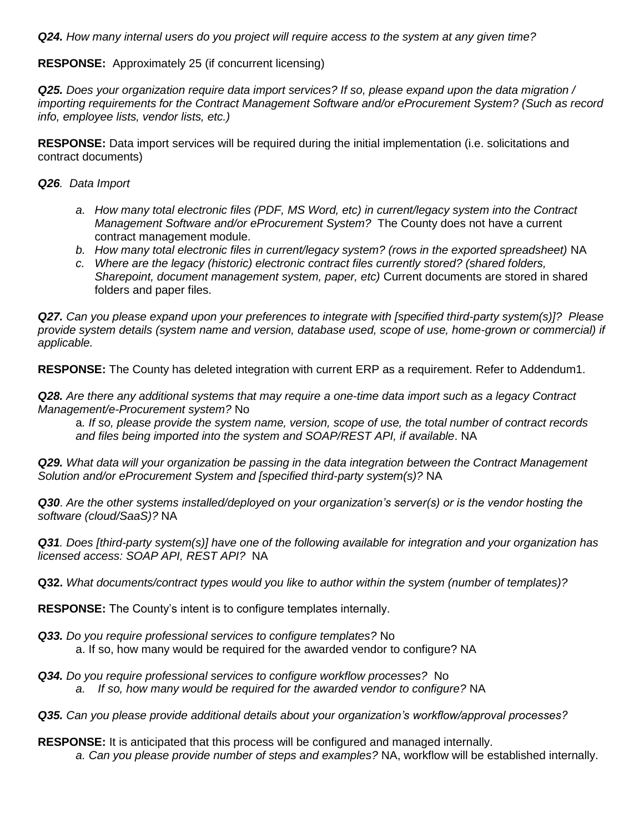*Q24. How many internal users do you project will require access to the system at any given time?*

**RESPONSE:** Approximately 25 (if concurrent licensing)

*Q25. Does your organization require data import services? If so, please expand upon the data migration / importing requirements for the Contract Management Software and/or eProcurement System? (Such as record info, employee lists, vendor lists, etc.)*

**RESPONSE:** Data import services will be required during the initial implementation (i.e. solicitations and contract documents)

*Q26. Data Import*

- *a. How many total electronic files (PDF, MS Word, etc) in current/legacy system into the Contract Management Software and/or eProcurement System?* The County does not have a current contract management module.
- *b. How many total electronic files in current/legacy system? (rows in the exported spreadsheet)* NA
- *c. Where are the legacy (historic) electronic contract files currently stored? (shared folders, Sharepoint, document management system, paper, etc)* Current documents are stored in shared folders and paper files.

*Q27. Can you please expand upon your preferences to integrate with [specified third-party system(s)]? Please provide system details (system name and version, database used, scope of use, home-grown or commercial) if applicable.*

**RESPONSE:** The County has deleted integration with current ERP as a requirement. Refer to Addendum1.

*Q28. Are there any additional systems that may require a one-time data import such as a legacy Contract Management/e-Procurement system?* No

a*. If so, please provide the system name, version, scope of use, the total number of contract records and files being imported into the system and SOAP/REST API, if available*. NA

*Q29. What data will your organization be passing in the data integration between the Contract Management Solution and/or eProcurement System and [specified third-party system(s)?* NA

*Q30*. *Are the other systems installed/deployed on your organization's server(s) or is the vendor hosting the software (cloud/SaaS)?* NA

*Q31. Does [third-party system(s)] have one of the following available for integration and your organization has licensed access: SOAP API, REST API?* NA

**Q32.** *What documents/contract types would you like to author within the system (number of templates)?*

**RESPONSE:** The County's intent is to configure templates internally.

- *Q33. Do you require professional services to configure templates?* No a. If so, how many would be required for the awarded vendor to configure? NA
- *Q34. Do you require professional services to configure workflow processes?* No *a. If so, how many would be required for the awarded vendor to configure?* NA
- *Q35. Can you please provide additional details about your organization's workflow/approval processes?*

**RESPONSE:** It is anticipated that this process will be configured and managed internally.

*a. Can you please provide number of steps and examples?* NA, workflow will be established internally.